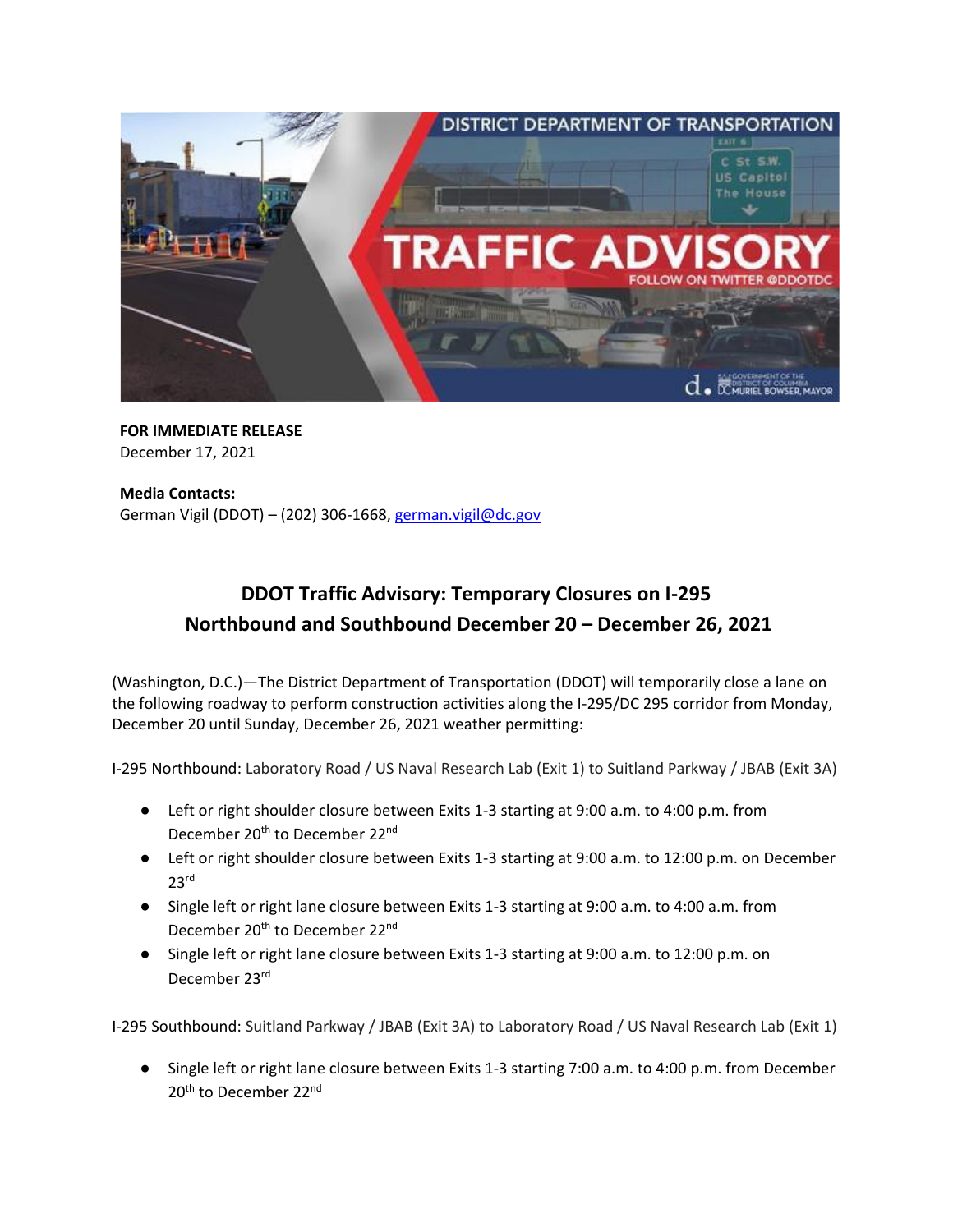

**FOR IMMEDIATE RELEASE**  December 17, 2021

**Media Contacts:**  German Vigil (DDOT) - (202) 306-1668, [german.vigil@dc.gov](mailto:german.vigil@dc.gov)

## **DDOT Traffic Advisory: Temporary Closures on I-295 Northbound and Southbound December 20 – December 26, 2021**

(Washington, D.C.)—The District Department of Transportation (DDOT) will temporarily close a lane on the following roadway to perform construction activities along the I-295/DC 295 corridor from Monday, December 20 until Sunday, December 26, 2021 weather permitting:

I-295 Northbound: Laboratory Road / US Naval Research Lab (Exit 1) to Suitland Parkway / JBAB (Exit 3A)

- Left or right shoulder closure between Exits 1-3 starting at 9:00 a.m. to 4:00 p.m. from December 20<sup>th</sup> to December 22<sup>nd</sup>
- Left or right shoulder closure between Exits 1-3 starting at 9:00 a.m. to 12:00 p.m. on December  $23<sup>rd</sup>$
- Single left or right lane closure between Exits 1-3 starting at 9:00 a.m. to 4:00 a.m. from December 20<sup>th</sup> to December 22<sup>nd</sup>
- Single left or right lane closure between Exits 1-3 starting at 9:00 a.m. to 12:00 p.m. on December 23rd

I-295 Southbound: Suitland Parkway / JBAB (Exit 3A) to Laboratory Road / US Naval Research Lab (Exit 1)

● Single left or right lane closure between Exits 1-3 starting 7:00 a.m. to 4:00 p.m. from December 20<sup>th</sup> to December 22<sup>nd</sup>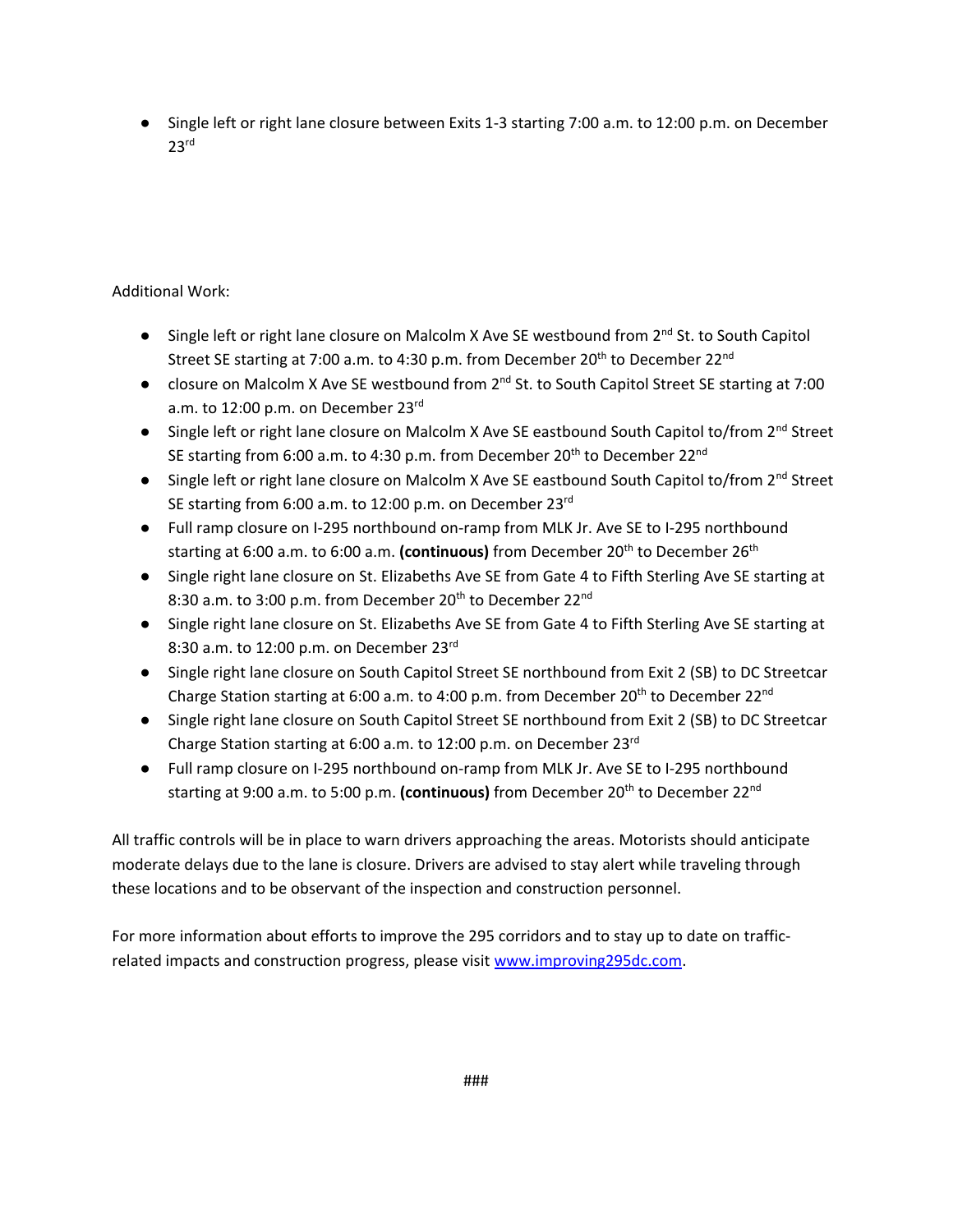● Single left or right lane closure between Exits 1-3 starting 7:00 a.m. to 12:00 p.m. on December 23rd

## Additional Work:

- Single left or right lane closure on Malcolm X Ave SE westbound from 2<sup>nd</sup> St. to South Capitol Street SE starting at 7:00 a.m. to 4:30 p.m. from December 20<sup>th</sup> to December 22<sup>nd</sup>
- closure on Malcolm X Ave SE westbound from 2<sup>nd</sup> St. to South Capitol Street SE starting at 7:00 a.m. to 12:00 p.m. on December 23<sup>rd</sup>
- Single left or right lane closure on Malcolm X Ave SE eastbound South Capitol to/from 2<sup>nd</sup> Street SE starting from 6:00 a.m. to 4:30 p.m. from December 20<sup>th</sup> to December 22<sup>nd</sup>
- Single left or right lane closure on Malcolm X Ave SE eastbound South Capitol to/from 2<sup>nd</sup> Street SE starting from 6:00 a.m. to 12:00 p.m. on December 23rd
- Full ramp closure on I-295 northbound on-ramp from MLK Jr. Ave SE to I-295 northbound starting at 6:00 a.m. to 6:00 a.m. **(continuous)** from December 20th to December 26th
- Single right lane closure on St. Elizabeths Ave SE from Gate 4 to Fifth Sterling Ave SE starting at 8:30 a.m. to 3:00 p.m. from December 20<sup>th</sup> to December 22<sup>nd</sup>
- Single right lane closure on St. Elizabeths Ave SE from Gate 4 to Fifth Sterling Ave SE starting at 8:30 a.m. to 12:00 p.m. on December  $23^{\text{rd}}$
- Single right lane closure on South Capitol Street SE northbound from Exit 2 (SB) to DC Streetcar Charge Station starting at 6:00 a.m. to 4:00 p.m. from December 20<sup>th</sup> to December 22<sup>nd</sup>
- Single right lane closure on South Capitol Street SE northbound from Exit 2 (SB) to DC Streetcar Charge Station starting at 6:00 a.m. to 12:00 p.m. on December 23<sup>rd</sup>
- Full ramp closure on I-295 northbound on-ramp from MLK Jr. Ave SE to I-295 northbound starting at 9:00 a.m. to 5:00 p.m. (continuous) from December 20<sup>th</sup> to December 22<sup>nd</sup>

All traffic controls will be in place to warn drivers approaching the areas. Motorists should anticipate moderate delays due to the lane is closure. Drivers are advised to stay alert while traveling through these locations and to be observant of the inspection and construction personnel.

For more information about efforts to improve the 295 corridors and to stay up to date on trafficrelated impacts and construction progress, please visi[t www.improving295dc.com.](http://www.improving295dc.com/)